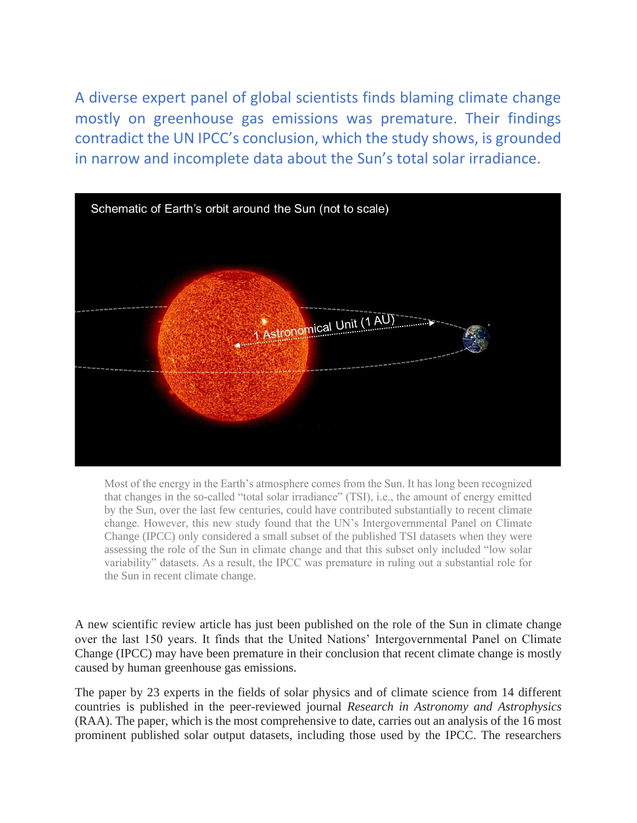A diverse expert panel of global scientists finds blaming climate change mostly on greenhouse gas emissions was premature. Their findings contradict the UN IPCC's conclusion, which the study shows, is grounded in narrow and incomplete data about the Sun's total solar irradiance.



Most of the energy in the Earth's atmosphere comes from the Sun. It has long been recognized that changes in the so-called "total solar irradiance" (TSI), i.e., the amount of energy emitted by the Sun, over the last few centuries, could have contributed substantially to recent climate change. However, this new study found that the UN's Intergovernmental Panel on Climate Change (IPCC) only considered a small subset of the published TSI datasets when they were assessing the role of the Sun in climate change and that this subset only included "low solar variability" datasets. As a result, the IPCC was premature in ruling out a substantial role for the Sun in recent climate change.

A new scientific review article has just been published on the role of the Sun in climate change over the last 150 years. It finds that the United Nations' Intergovernmental Panel on Climate Change (IPCC) may have been premature in their conclusion that recent climate change is mostly caused by human greenhouse gas emissions.

The paper by 23 experts in the fields of solar physics and of climate science from 14 different countries is published in the peer-reviewed journal *Research in Astronomy and Astrophysics* (RAA). The paper, which is the most comprehensive to date, carries out an analysis of the 16 most prominent published solar output datasets, including those used by the IPCC. The researchers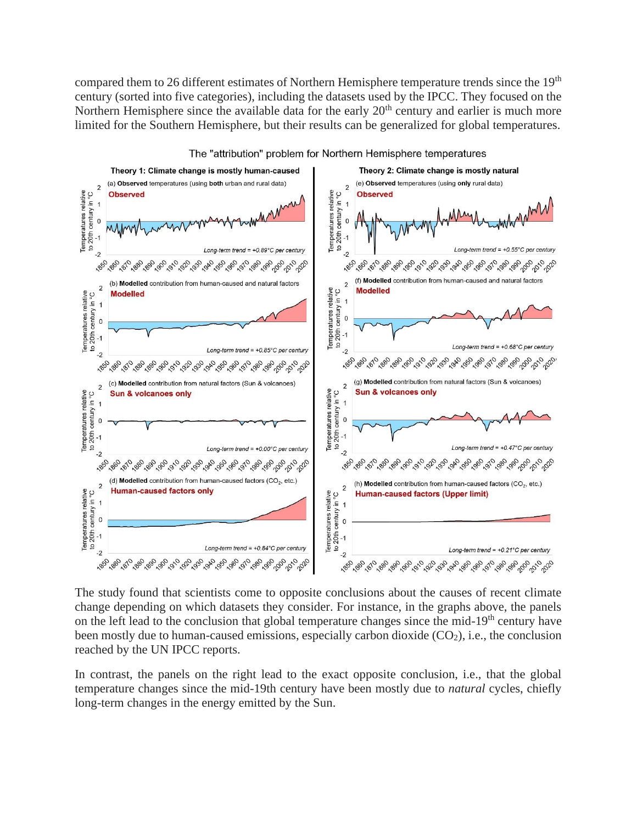compared them to 26 different estimates of Northern Hemisphere temperature trends since the 19<sup>th</sup> century (sorted into five categories), including the datasets used by the IPCC. They focused on the Northern Hemisphere since the available data for the early  $20<sup>th</sup>$  century and earlier is much more limited for the Southern Hemisphere, but their results can be generalized for global temperatures.



The "attribution" problem for Northern Hemisphere temperatures

The study found that scientists come to opposite conclusions about the causes of recent climate change depending on which datasets they consider. For instance, in the graphs above, the panels on the left lead to the conclusion that global temperature changes since the mid-19<sup>th</sup> century have been mostly due to human-caused emissions, especially carbon dioxide  $(CO_2)$ , i.e., the conclusion reached by the UN IPCC reports.

In contrast, the panels on the right lead to the exact opposite conclusion, i.e., that the global temperature changes since the mid-19th century have been mostly due to *natural* cycles, chiefly long-term changes in the energy emitted by the Sun.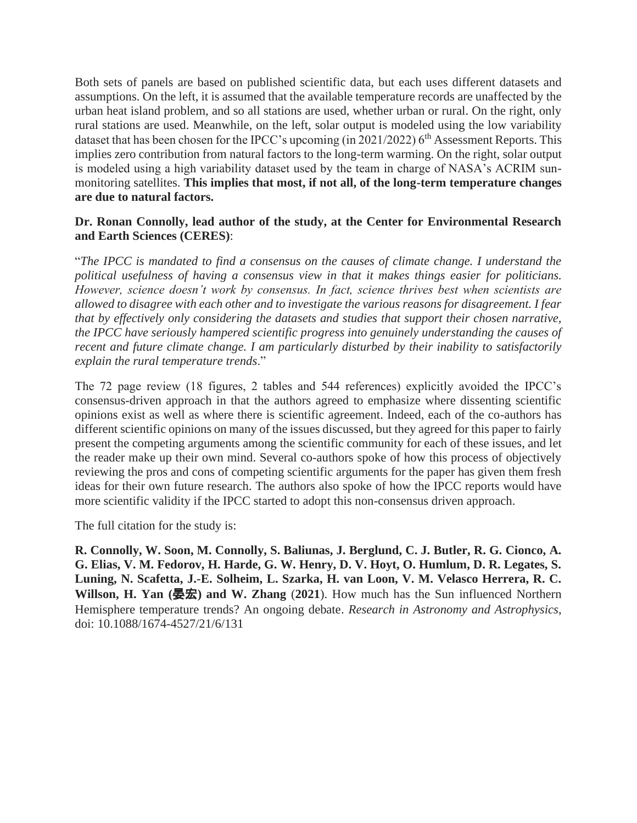Both sets of panels are based on published scientific data, but each uses different datasets and assumptions. On the left, it is assumed that the available temperature records are unaffected by the urban heat island problem, and so all stations are used, whether urban or rural. On the right, only rural stations are used. Meanwhile, on the left, solar output is modeled using the low variability dataset that has been chosen for the IPCC's upcoming (in  $2021/2022$ ) 6<sup>th</sup> Assessment Reports. This implies zero contribution from natural factors to the long-term warming. On the right, solar output is modeled using a high variability dataset used by the team in charge of NASA's ACRIM sunmonitoring satellites. **This implies that most, if not all, of the long-term temperature changes are due to natural factors.**

#### **Dr. Ronan Connolly, lead author of the study, at the Center for Environmental Research and Earth Sciences (CERES)**:

"*The IPCC is mandated to find a consensus on the causes of climate change. I understand the political usefulness of having a consensus view in that it makes things easier for politicians. However, science doesn't work by consensus. In fact, science thrives best when scientists are allowed to disagree with each other and to investigate the various reasons for disagreement. I fear that by effectively only considering the datasets and studies that support their chosen narrative, the IPCC have seriously hampered scientific progress into genuinely understanding the causes of recent and future climate change. I am particularly disturbed by their inability to satisfactorily explain the rural temperature trends*."

The 72 page review (18 figures, 2 tables and 544 references) explicitly avoided the IPCC's consensus-driven approach in that the authors agreed to emphasize where dissenting scientific opinions exist as well as where there is scientific agreement. Indeed, each of the co-authors has different scientific opinions on many of the issues discussed, but they agreed for this paper to fairly present the competing arguments among the scientific community for each of these issues, and let the reader make up their own mind. Several co-authors spoke of how this process of objectively reviewing the pros and cons of competing scientific arguments for the paper has given them fresh ideas for their own future research. The authors also spoke of how the IPCC reports would have more scientific validity if the IPCC started to adopt this non-consensus driven approach.

The full citation for the study is:

**R. Connolly, W. Soon, M. Connolly, S. Baliunas, J. Berglund, C. J. Butler, R. G. Cionco, A. G. Elias, V. M. Fedorov, H. Harde, G. W. Henry, D. V. Hoyt, O. Humlum, D. R. Legates, S. Luning, N. Scafetta, J.-E. Solheim, L. Szarka, H. van Loon, V. M. Velasco Herrera, R. C.**  Willson, H. Yan (晏宏) and W. Zhang (2021). How much has the Sun influenced Northern Hemisphere temperature trends? An ongoing debate. *Research in Astronomy and Astrophysics*, doi: 10.1088/1674-4527/21/6/131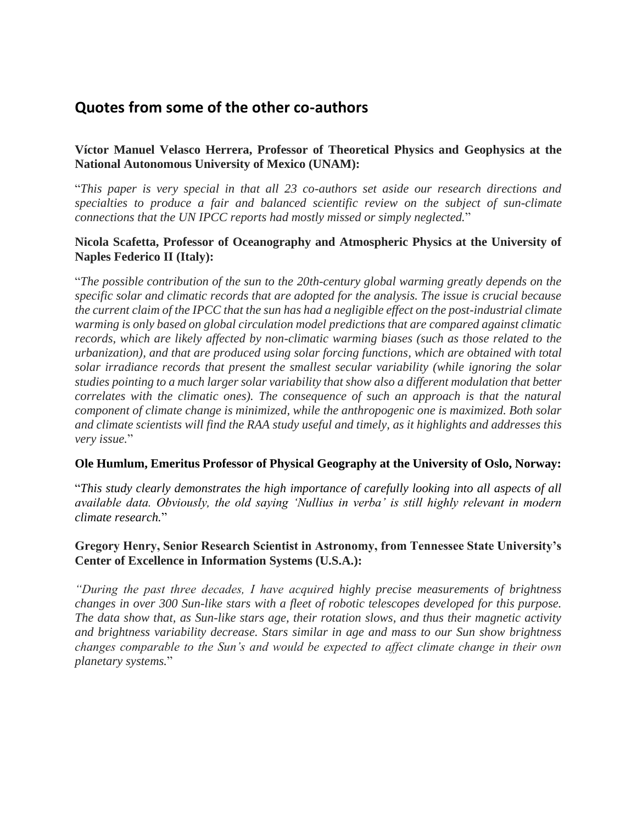# **Quotes from some of the other co-authors**

# **Víctor Manuel Velasco Herrera, Professor of Theoretical Physics and Geophysics at the National Autonomous University of Mexico (UNAM):**

"*This paper is very special in that all 23 co-authors set aside our research directions and specialties to produce a fair and balanced scientific review on the subject of sun-climate connections that the UN IPCC reports had mostly missed or simply neglected.*"

#### **Nicola Scafetta, Professor of Oceanography and Atmospheric Physics at the University of Naples Federico II (Italy):**

"*The possible contribution of the sun to the 20th-century global warming greatly depends on the specific solar and climatic records that are adopted for the analysis. The issue is crucial because the current claim of the IPCC that the sun has had a negligible effect on the post-industrial climate warming is only based on global circulation model predictions that are compared against climatic records, which are likely affected by non-climatic warming biases (such as those related to the urbanization), and that are produced using solar forcing functions, which are obtained with total solar irradiance records that present the smallest secular variability (while ignoring the solar studies pointing to a much larger solar variability that show also a different modulation that better correlates with the climatic ones). The consequence of such an approach is that the natural component of climate change is minimized, while the anthropogenic one is maximized. Both solar and climate scientists will find the RAA study useful and timely, as it highlights and addresses this very issue.*"

#### **Ole Humlum, Emeritus Professor of Physical Geography at the University of Oslo, Norway:**

"*This study clearly demonstrates the high importance of carefully looking into all aspects of all available data. Obviously, the old saying 'Nullius in verba' is still highly relevant in modern climate research.*"

# **Gregory Henry, Senior Research Scientist in Astronomy, from Tennessee State University's Center of Excellence in Information Systems (U.S.A.):**

*"During the past three decades, I have acquired highly precise measurements of brightness changes in over 300 Sun-like stars with a fleet of robotic telescopes developed for this purpose. The data show that, as Sun-like stars age, their rotation slows, and thus their magnetic activity and brightness variability decrease. Stars similar in age and mass to our Sun show brightness changes comparable to the Sun's and would be expected to affect climate change in their own planetary systems.*"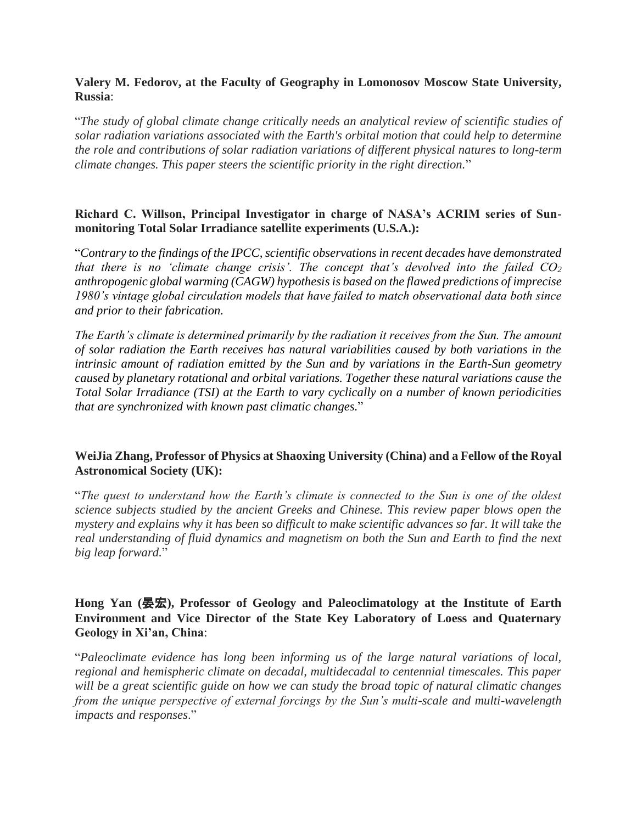## **Valery M. Fedorov, at the Faculty of Geography in Lomonosov Moscow State University, Russia**:

"*The study of global climate change critically needs an analytical review of scientific studies of solar radiation variations associated with the Earth's orbital motion that could help to determine the role and contributions of solar radiation variations of different physical natures to long-term climate changes. This paper steers the scientific priority in the right direction.*"

## **Richard C. Willson, Principal Investigator in charge of NASA's ACRIM series of Sunmonitoring Total Solar Irradiance satellite experiments (U.S.A.):**

"*Contrary to the findings of the IPCC, scientific observations in recent decades have demonstrated that there is no 'climate change crisis'. The concept that's devolved into the failed CO<sup>2</sup> anthropogenic global warming (CAGW) hypothesis is based on the flawed predictions of imprecise 1980's vintage global circulation models that have failed to match observational data both since and prior to their fabrication.* 

*The Earth's climate is determined primarily by the radiation it receives from the Sun. The amount of solar radiation the Earth receives has natural variabilities caused by both variations in the intrinsic amount of radiation emitted by the Sun and by variations in the Earth-Sun geometry caused by planetary rotational and orbital variations. Together these natural variations cause the Total Solar Irradiance (TSI) at the Earth to vary cyclically on a number of known periodicities that are synchronized with known past climatic changes.*"

### **WeiJia Zhang, Professor of Physics at Shaoxing University (China) and a Fellow of the Royal Astronomical Society (UK):**

"*The quest to understand how the Earth's climate is connected to the Sun is one of the oldest science subjects studied by the ancient Greeks and Chinese. This review paper blows open the mystery and explains why it has been so difficult to make scientific advances so far. It will take the real understanding of fluid dynamics and magnetism on both the Sun and Earth to find the next big leap forward.*"

# **Hong Yan (**晏宏**), Professor of Geology and Paleoclimatology at the Institute of Earth Environment and Vice Director of the State Key Laboratory of Loess and Quaternary Geology in Xi'an, China**:

"*Paleoclimate evidence has long been informing us of the large natural variations of local, regional and hemispheric climate on decadal, multidecadal to centennial timescales. This paper will be a great scientific guide on how we can study the broad topic of natural climatic changes from the unique perspective of external forcings by the Sun's multi-scale and multi-wavelength impacts and responses*."